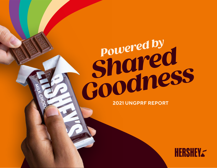# *Powered by*<br> **Powered by**  *Shared*  **2021 UNDERFREPORT**

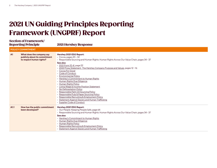## 2021 UN Guiding Principles Reporting Framework (UNGPRF) Report

#### Section of Framework/ Reporting Principle 2021 Hershey Response **POLICY COMMITMENT A1 What does the company say publicly about its commitment to respect human rights? Hershey 2021 ESG Report:** • Cocoa, pages 20 - 32 • Responsible Sourcing and Human Rights: Human Rights Across Our Value Chain, pages 34 - 37 **See also:** • [2021 Form 10-K,](https://hershey.gcs-web.com/static-files/6009bd76-f82f-4f6c-a58a-6d926bf742eb) page 22 • [2022 Proxy Statement: The Hershey Company Purpose and Values](https://hershey.gcs-web.com/static-files/c79526d5-4fb5-4775-b666-3ae7e2f60392), pages 12 - 16 • [Cocoa For Good](https://www.thehersheycompany.com/en_us/sustainability/shared-business/cocoa-for-good.html) • [Code of Conduct](https://www.thehersheycompany.com/content/dam/corporate-us/documents/investors/code-of-conduct-english.pdf) • [Environmental Policy](https://www.thehersheycompany.com/content/dam/corporate-us/documents/pdf/HSY_Environamental_Policy_2019.pdf) • [Hershey's Commitment to Human Rights](https://www.thehersheycompany.com/content/corporate_SSF/en_us/shared-goodness/shared-business/human-rights.html) • [Human Rights Due Diligence](https://www.thehersheycompany.com/en_us/sustainability/shared-business/human-rights/human-rights-due-diligence.html) • [Human Rights Policy](https://www.thehersheycompany.com/content/dam/corporate-us/documents/pdf/HSY_HumanRights_Policy_2019.pdf) • [Living Wage & Income Position Statement](https://www.thehersheycompany.com/content/dam/hershey-corporate/documents/sustainability/HSY_Living_Wage_Income_Position_Statement.pdf) • [No Deforestation Policy](https://www.thehersheycompany.com/content/dam/hershey-corporate/documents/pdf/HSY_No_Deforestation_Policy.pdf) • [Responsible Palm Oil Sourcing Policy](https://www.thehersheycompany.com/content/dam/corporate-us/documents/legal/palm-sourcing-policy.pdf) • [Responsible Pulp & Paper Sourcing Policy](https://www.thehersheycompany.com/content/dam/corporate-us/documents/legal/pulp-and-paper-sourcing-policy.pdf) • [Responsible Recruiting & Employment Policy](https://www.thehersheycompany.com/content/dam/hershey-corporate/documents/pdf/HSY_Ethical_recruitment_policy_2020.pdf) • [Statement Against Slavery and Human Trafficking](https://www.thehersheycompany.com/content/dam/corporate-us/documents/pdf/HSY_Statement_Against_Human_Trafficking_and_Slavery.pdf?.html) • [Supplier Code of Conduct](https://www.thehersheycompany.com/content/dam/corporate-us/documents/partners-and-suppliers/supplier-code-of-conduct.pdf) **A1.1 How has the public commitment been developed? Hershey 2021 ESG Report:** • Our People: Keeping People Safe, page 64 • Responsible Sourcing and Human Rights: Human Rights Across Our Value Chain, pages 34 - 37 **See also:** • [Hershey's Commitment to Human Rights](https://www.thehersheycompany.com/content/corporate_SSF/en_us/shared-goodness/shared-business/human-rights.html) • [Human Rights Due Diligence](https://www.thehersheycompany.com/en_us/sustainability/shared-business/human-rights/human-rights-due-diligence.html) • [Human Rights Policy](https://www.thehersheycompany.com/content/dam/corporate-us/documents/pdf/HSY_HumanRights_Policy_2019.pdf) • [Responsible Recruiting & Employment Policy](https://www.thehersheycompany.com/content/dam/hershey-corporate/documents/pdf/HSY_Ethical_recruitment_policy_2020.pdf) • [Statement Against Slavery and Human Trafficking](https://www.thehersheycompany.com/content/dam/corporate-us/documents/pdf/HSY_Statement_Against_Human_Trafficking_and_Slavery.pdf?.html)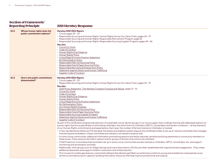| A1.2 | Whose human rights does the<br>public commitment address? | Hershey 2021 ESG Report:<br>$\cdot$ Cocoa, pages 20 - 32<br>· Responsible Sourcing and Human Rights: Human Rights Across Our Value Chain, pages 34 - 37<br>• Responsible Sourcing and Human Rights: Responsible Recruitment Program, page 43<br>• Responsible Sourcing and Human Rights: Responsible Sourcing Supplier Program, pages 44 - 46<br>See also:<br>• Cocoa For Good<br>• Code of Conduct<br>• Human Rights Due Diligence<br>• Human Rights Policy<br>• Living Wage & Income Position Statement<br>• No Deforestation Policy<br>Responsible Palm Oil Sourcing Policy<br>Responsible Pulp & Paper Sourcing Policy<br>Responsible Recruiting & Employment Policy<br>• Statement Against Slavery and Human Trafficking<br>• Supplier Code of Conduct                                                                                                                                                                                                                                                                                                                                                                                                                                                                                                                                                                                                                                                                                                                                                                                                                                                                                                                                                                                                                                                                                                                                                                                                                                                                                                                                                                                                                                                                                                                                                                                                                 |
|------|-----------------------------------------------------------|-----------------------------------------------------------------------------------------------------------------------------------------------------------------------------------------------------------------------------------------------------------------------------------------------------------------------------------------------------------------------------------------------------------------------------------------------------------------------------------------------------------------------------------------------------------------------------------------------------------------------------------------------------------------------------------------------------------------------------------------------------------------------------------------------------------------------------------------------------------------------------------------------------------------------------------------------------------------------------------------------------------------------------------------------------------------------------------------------------------------------------------------------------------------------------------------------------------------------------------------------------------------------------------------------------------------------------------------------------------------------------------------------------------------------------------------------------------------------------------------------------------------------------------------------------------------------------------------------------------------------------------------------------------------------------------------------------------------------------------------------------------------------------------------------------------------------------------------------------------------------------------------------------------------------------------------------------------------------------------------------------------------------------------------------------------------------------------------------------------------------------------------------------------------------------------------------------------------------------------------------------------------------------------------------------------------------------------------------------------------------------|
| A1.3 | How is the public commitment<br>disseminated?             | Hershey 2021 ESG Report:<br>$\cdot$ Cocoa, pages 20 - 32<br>· Responsible Sourcing and Human Rights: Human Rights Across Our Value Chain, pages 34 - 37<br>See also:<br>2022 Proxy Statement: The Hershey Company Purpose and Values, pages 12 - 16<br>· Cocoa For Good<br>• Code of Conduct<br>• Human Rights Due Diligence<br>• Human Rights Policy<br>• Living Wage & Income Position Statement<br>• No Deforestation Policy<br>• Our Human Rights Progress<br>Responsible Palm Oil Sourcing Policy<br>Responsible Pulp & Paper Sourcing Policy<br>Responsible Sourcing Supplier Program<br>· Statement Against Slavery and Human Trafficking<br>• Supplier Code of Conduct<br>As part of the certification programs/production of sustainable cocoa, farmer groups in our cocoa supply chain undergo training with dedicated sessions on<br>human rights that focus specifically on eliminating child labor, the worst forms of child labor (WFCL), forced labor and worker conditions – all key elements<br>of our Human Rights commitments and expectations. Each year, the number of farmers trained on child labor is tracked.<br>· In the new Rainforest Alliance/UTZ standard, the Assess and Address system requires the certificate holder to set up an internal committee that manages<br>monitoring and remediation; these committees are trained on all relevant issues as well.<br>• In some cocoa communities, additional information and training sessions are held to educate, sensitize and bring awareness to community members on<br>these issues. These sessions are held in-person and for groups of farmers and community members.<br>· Child Protection Committees that have been set up in some cocoa communities are also trained on child labor, WFCL, forced labor, etc. and support<br>monitoring and sensitization activities.<br>• Additionally, other groups such as Village Savings and Loans Associations (VSLAs) are often established with majority female engagement. They create<br>additional awareness and support children's education and child protection.<br>• The CocoaLink mobile app features customized software that delivers gamified cocoa farming content to young and smartphone-empowered cocoa<br>farmers to provide access to capacity-building information resources that help improve productivity and outputs. |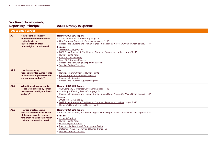|                | <b>EMBEDDING RESPECT</b>                                                                                                                               |                                                                                                                                                                                                                                                                                                                                                                                                                                                                                                                       |  |
|----------------|--------------------------------------------------------------------------------------------------------------------------------------------------------|-----------------------------------------------------------------------------------------------------------------------------------------------------------------------------------------------------------------------------------------------------------------------------------------------------------------------------------------------------------------------------------------------------------------------------------------------------------------------------------------------------------------------|--|
| A <sup>2</sup> | How does the company<br>demonstrate the importance<br>it attaches to the<br>implementation of its<br>human rights commitment?                          | Hershey 2021 ESG Report:<br>• Cocoa: Prevention is the Priority, page 26<br>• Our Company: Corporate Governance, pages 11 - 12<br>· Responsible Sourcing and Human Rights: Human Rights Across Our Value Chain, pages 34 - 37<br>See also:<br>• 2021 Form 10-K, page 22<br>• 2022 Proxy Statement: The Hershey Company Purpose and Values, pages 12-16<br>• Human Rights Policy<br>· Palm Oil Grievance Log<br>Palm Oil Grievance Process<br>Responsible Recruiting & Employment Policy<br>• Supplier Code of Conduct |  |
| A2.1           | How is day-to-day<br>responsibility for human rights<br>performance organized within<br>the company, and why?                                          | See:<br>• Hershey's Commitment to Human Rights<br>• Priority Ingredients and Raw Materials<br><b>Responsible Sourcing</b><br>• Responsible Sourcing Supplier Program                                                                                                                                                                                                                                                                                                                                                  |  |
| A2.2           | What kinds of human rights<br>issues are discussed by senior<br>management and by the Board,<br>and why?                                               | Hershey 2021 ESG Report:<br>• Our Company: Corporate Governance, pages 11 - 12<br>• Our People: Keeping People Safe, page 64<br>• Responsible Sourcing and Human Rights: Human Rights Across Our Value Chain, pages 34 - 37<br>See also:<br>• 2021 Form 10-K, page 22<br>• 2022 Proxy Statement: The Hershey Company Purpose and Values, pages 12-16<br>• Hershey's Commitment to Human Rights                                                                                                                        |  |
| A2.3           | How are employees and<br>contract workers made aware<br>of the ways in which respect<br>for human rights should inform<br>their decisions and actions? | Hershey 2021 ESG Report:<br>• Responsible Sourcing and Human Rights: Human Rights Across Our Value Chain, pages 34 - 37<br>See also:<br>• Code of Conduct<br>• Human Rights Policy<br>• Human Rights Progress<br>Responsible Recruiting & Employment Policy<br>• Statement Against Slavery and Human Trafficking<br>• Supplier Code of Conduct                                                                                                                                                                        |  |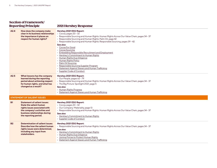### Section of Framework/ Reporting Principle 2021 Hershey Response

|  |  | <b>2021 Hershey Respons</b> |  |
|--|--|-----------------------------|--|
|--|--|-----------------------------|--|

| A2.4                               | How does the company make<br>clear in its business relationships<br>the importance it places on<br>respect for human rights?                                                                     | Hershey 2021 ESG Report:<br>· Cocoa, pages 20 - 32<br>• Responsible Sourcing and Human Rights: Human Rights Across Our Value Chain, pages 34 - 37<br>• Responsible Sourcing and Human Rights: Palm Oil, page 42<br>· Responsible Sourcing and Human Rights: Responsible Sourcing, pages 39 - 42<br>See also:<br>• Cocoa For Good<br>• Cocoa Sourcing<br><b>Embedding Responsible Recruitment and Employment</b><br>• Hershey's Commitment to Human Rights<br>• Human Rights Due Diligence<br>• Human Rights Policy<br>• Palm Oil Sourcing<br>· Responsible Sourcing Supplier Program<br>· Statement Against Slavery and Human Trafficking<br>• Supplier Code of Conduct |
|------------------------------------|--------------------------------------------------------------------------------------------------------------------------------------------------------------------------------------------------|-------------------------------------------------------------------------------------------------------------------------------------------------------------------------------------------------------------------------------------------------------------------------------------------------------------------------------------------------------------------------------------------------------------------------------------------------------------------------------------------------------------------------------------------------------------------------------------------------------------------------------------------------------------------------|
| A2.5                               | What lessons has the company<br>learned during the reporting<br>period about achieving respect<br>for human rights, and what has<br>changed as a result?                                         | Hershey 2021 ESG Report:<br>• Our People, pages 62 - 79<br>· Responsible Sourcing and Human Rights: Human Rights Across Our Value Chain, pages 34 - 37<br>• The Big Picture: Spotlight 2021, page 5<br>See also:<br>• Human Rights Progress<br>· Statement Against Slavery and Human Trafficking                                                                                                                                                                                                                                                                                                                                                                        |
| <b>STATEMENT OF SALIENT ISSUES</b> |                                                                                                                                                                                                  |                                                                                                                                                                                                                                                                                                                                                                                                                                                                                                                                                                                                                                                                         |
| <b>B1</b>                          | <b>Statement of salient issues:</b><br><b>State the salient human</b><br>rights issues associated with<br>the company's activities and<br>business relationships during<br>the reporting period. | Hershey 2021 ESG Report:<br>$\cdot$ Cocoa, pages 20 - 32<br>• Our Company: Materiality, page 13<br>· Responsible Sourcing and Human Rights: Human Rights Across Our Value Chain, pages 34 - 37<br>See also:<br>• Hershey's Commitment to Human Rights<br>• Supplier Code of Conduct                                                                                                                                                                                                                                                                                                                                                                                     |
| <b>B2</b>                          | <b>Determination of salient issues:</b><br>Describe how the salient human<br>rights issues were determined,<br>including any input from<br>stakeholders.                                         | Hershey 2021 ESG Report:<br>• Responsible Sourcing and Human Rights: Human Rights Across Our Value Chain, pages 34 - 37<br>See also:<br>• Hershey's Commitment to Human Rights<br>• Human Rights Due Diligence<br>• Joining Forces to Protect Human Rights<br>· Statement Against Slavery and Human Trafficking                                                                                                                                                                                                                                                                                                                                                         |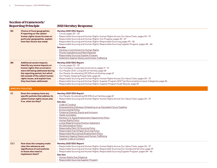| <b>B3</b> | <b>Choice of focal geographies:</b><br>If reporting on the salient<br>human rights issues focuses on<br>particular geographies, explain<br>how that choice was made.                                                                                                             | Hershey 2021 ESG Report:<br>$\cdot$ Cocoa, pages 20 - 32<br>· Responsible Sourcing and Human Rights: Human Rights Across Our Value Chain, pages 34 - 37<br>• Responsible Sourcing and Human Rights: Our Progress, pages 43 - 47<br>· Responsible Sourcing and Human Rights: Responsible Sourcing, pages 39 - 42<br>· Responsible Sourcing and Human Rights: Responsible Sourcing Supplier Program, pages 44 - 46<br>See also:<br>· Hershey's Commitment to Human Rights<br>• Priority Ingredients and Raw Materials<br>• Responsible Sourcing Supplier Program<br>· Statement Against Slavery and Human Trafficking                                                                                                                                                               |
|-----------|----------------------------------------------------------------------------------------------------------------------------------------------------------------------------------------------------------------------------------------------------------------------------------|-----------------------------------------------------------------------------------------------------------------------------------------------------------------------------------------------------------------------------------------------------------------------------------------------------------------------------------------------------------------------------------------------------------------------------------------------------------------------------------------------------------------------------------------------------------------------------------------------------------------------------------------------------------------------------------------------------------------------------------------------------------------------------------|
| <b>B4</b> | <b>Additional severe impacts:</b><br>Identify any severe impacts on<br>human rights that occurred or<br>were still being addressed during<br>the reporting period, but which<br>fall outside of the salient human<br>rights issues, and explain how<br>they have been addressed. | Hershey 2021 ESG Report:<br>$\cdot$ Cocoa, pages 20 - 32<br>· Our Company: Corporate Governance, pages 11 - 12<br>• Our People: 2021: Living DEI at Hershey, page 68<br>• Our People: Accelerating DEI Efforts at Hershey, page 67<br>• Our People: Keeping People Safe, page 64<br>· Responsible Sourcing and Human Rights: Human Rights Across Our Value Chain, pages 34 - 37<br>• Responsible Sourcing and Human Rights: Supplier Program 2021 Top Noncompliance Issue Categories, page 46<br>· Responsible Sourcing and Human Rights: Supplier Program Audit Results, page 45                                                                                                                                                                                                 |
|           | <b>SPECIFIC POLICIES</b>                                                                                                                                                                                                                                                         |                                                                                                                                                                                                                                                                                                                                                                                                                                                                                                                                                                                                                                                                                                                                                                                   |
| C1        | Does the company have any<br>specific policies that address its<br>salient human rights issues and,<br>if so, what are they?                                                                                                                                                     | Hershey 2021 ESG Report:<br>• Our People: Accelerating DEI Efforts at Hershey, page 67<br>• Responsible Sourcing and Human Rights: Human Rights Across Our Value Chain, pages 34 - 37<br>See also:<br>• Code of Conduct<br>• Empowered by Pathways: Embarking on an Equitable Future Together<br>• Environmental Policy<br>• Fostering Diversity, Equity and Inclusion<br>• Health and Safety<br>• Hershey U.S. Equal Employment Opportunity Policy<br>• Human Rights Policy<br>• Living Wage & Income Position Statement<br>• No Deforestation Policy<br>· Responsible Palm Oil Sourcing Policy<br>· Responsible Pulp & Paper Sourcing Policy<br>· Responsible Recruiting & Employment Policy<br>• Statement Against Slavery and Human Trafficking<br>• Supplier Code of Conduct |
| C1.1      | How does the company make<br>clear the relevance and<br>significance of such policies<br>to those who need to<br>implement them?                                                                                                                                                 | Hershey 2021 ESG Report:<br>· Responsible Sourcing and Human Rights: Human Rights Across Our Value Chain, pages 34 - 37<br>• Responsible Sourcing and Human Rights: Responsibly Sourcing Our Goods and Services, page 39<br>· Responsible Sourcing and Human Rights: Responsible Sourcing Supplier Program, pages 44 - 46<br>See also:<br>• Human Rights Due Diligence<br>• Responsible Sourcing Supplier Program                                                                                                                                                                                                                                                                                                                                                                 |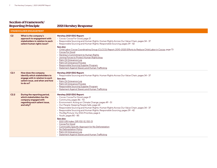|                  | <b>STAKEHOLDER ENGAGEMENT</b>                                                                                                             |                                                                                                                                                                                                                                                                                                                                                                                                                                                                                                                                                                                                                                                                                                                 |  |
|------------------|-------------------------------------------------------------------------------------------------------------------------------------------|-----------------------------------------------------------------------------------------------------------------------------------------------------------------------------------------------------------------------------------------------------------------------------------------------------------------------------------------------------------------------------------------------------------------------------------------------------------------------------------------------------------------------------------------------------------------------------------------------------------------------------------------------------------------------------------------------------------------|--|
| C <sub>2</sub>   | What is the company's<br>approach to engagement with<br>stakeholders in relation to each<br>salient human rights issue?                   | Hershey 2021 ESG Report:<br>• Cocoa: Cocoa For Good, page 21<br>· Responsible Sourcing and Human Rights: Human Rights Across Our Value Chain, pages 34 - 37<br>• Responsible Sourcing and Human Rights: Responsible Sourcing, pages 39 - 42<br>See also:<br>• Child Labor Cocoa Coordinating Group (CLCCG) Report: 2010-2020 Efforts to Reduce Child Labor in Cocoa, page 73<br>• Cocoa For Good<br>• Hershey's Commitment to Human Rights<br>· Joining Forces to Protect Human Rights blog<br>· Palm Oil Grievance Log<br>• Palm Oil Grievance Process<br>• Responsible Sourcing Supplier Program<br>• Statement Against Slavery and Human Trafficking                                                         |  |
| C <sub>2.1</sub> | How does the company<br>identify which stakeholders to<br>engage with in relation to each<br>salient issue, and when and how<br>to do so? | Hershey 2021 ESG Report:<br>· Responsible Sourcing and Human Rights: Human Rights Across Our Value Chain, pages 34 - 37<br>See also:<br>• Palm Oil Grievance Log<br>• Palm Oil Grievance Process<br>• Responsible Sourcing Supplier Program<br>• Statement Against Slavery and Human Trafficking                                                                                                                                                                                                                                                                                                                                                                                                                |  |
| C <sub>2.2</sub> | During the reporting period,<br>which stakeholders has the<br>company engaged with<br>regarding each salient issue,<br>and why?           | Hershey 2021 ESG Report:<br>• Cocoa: Cocoa For Good, page 21<br>• Community, pages 86 - 92<br>• Environment: Acting on Climate Change, pages 49 - 51<br>• Our People: Keeping People Safe, page 64<br>· Responsible Sourcing and Human Rights: Human Rights Across Our Value Chain, pages 34 - 37<br>· Responsible Sourcing and Human Rights: Responsible Sourcing, pages 39 - 42<br>• The Big Picture: Our ESG Priorities, page 6<br>$\cdot$ Youth, pages 80 - 85<br>See also:<br>· 2021 GRI Index: GRI 102-12; 102-13<br>• Cocoa For Good<br>• Commodity Specific Approach for No Deforestation<br>• No Deforestation Policy<br>· Palm Oil Grievance Log<br>• Statement Against Slavery and Human Trafficking |  |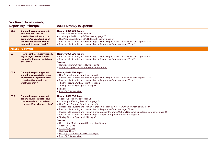#### Reporting Principle 2021 Hershey Response

| C <sub>2.3</sub> | During the reporting period,<br>how have the views of<br>stakeholders influenced the<br>company's understanding of<br>each salient issue and/or its<br>approach to addressing it? | Hershey 2021 ESG Report:<br>• Cocoa: Cocoa For Good, page 21<br>• Our People: 2021: Living DEI at Hershey, page 68<br>• Our People: Accelerating DEI Efforts at Hershey, page 67<br>· Responsible Sourcing and Human Rights: Human Rights Across Our Value Chain, pages 34 - 37<br>• Responsible Sourcing and Human Rights: Responsible Sourcing, pages 39 - 42                                                                                                                                                                                                                                                                                                                                                                                                                          |
|------------------|-----------------------------------------------------------------------------------------------------------------------------------------------------------------------------------|------------------------------------------------------------------------------------------------------------------------------------------------------------------------------------------------------------------------------------------------------------------------------------------------------------------------------------------------------------------------------------------------------------------------------------------------------------------------------------------------------------------------------------------------------------------------------------------------------------------------------------------------------------------------------------------------------------------------------------------------------------------------------------------|
|                  | <b>ASSESSING IMPACTS</b>                                                                                                                                                          |                                                                                                                                                                                                                                                                                                                                                                                                                                                                                                                                                                                                                                                                                                                                                                                          |
| C3               | How does the company identify<br>any changes in the nature of<br>each salient human rights issue<br>over time?                                                                    | Hershey 2021 ESG Report:<br>• Responsible Sourcing and Human Rights: Human Rights Across Our Value Chain, pages 34 - 37<br>• Responsible Sourcing and Human Rights: Responsible Sourcing, pages 39 - 42<br>See also:<br>• Hershey's Commitment to Human Rights<br>• Statement Against Slavery and Human Trafficking                                                                                                                                                                                                                                                                                                                                                                                                                                                                      |
| C <sub>3.1</sub> | During the reporting period,<br>were there any notable trends<br>or patterns in impacts related<br>to a salient issue and, if so,<br>what were they?                              | Hershey 2021 ESG Report:<br>• Our People: Stronger Together, page 63<br>• Responsible Sourcing and Human Rights: Human Rights Across Our Value Chain, pages 34 - 37<br>• Responsible Sourcing and Human Rights: Responsible Sourcing, pages 39 - 42<br>• The Big Picture: Our ESG Priorities, page 6<br>• The Big Picture: Spotlight 2021, page 5<br>See also:<br>• Palm Oil Grievance Log                                                                                                                                                                                                                                                                                                                                                                                               |
| C3.2             | During the reporting period,<br>did any severe impacts occur<br>that were related to a salient<br>issue and, if so, what were they?                                               | Hershey 2021 ESG Report:<br>• Cocoa: Cocoa For Good, page 21<br>• Our People: Keeping People Safe, page 64<br>• Our People: Stronger Together, page 63<br>• Responsible Sourcing and Human Rights: Human Rights Across Our Value Chain, page 34 - 37<br>• Responsible Sourcing and Human Rights: Responsible Sourcing, pages 39 - 42<br>. Responsible Sourcing and Human Rights: Supplier Program 2021 Top Noncompliance Issue Categories, page 46<br>· Responsible Sourcing and Human Rights: Supplier Program Audit Results, page 45<br>• The Big Picture: Spotlight 2021, page 5<br>See also:<br>• Child Labor Monitoring and Remediation System<br>• Cocoa For Good<br>• Cocoa Sourcing<br>• Health and Safety<br>• Hershey's Commitment to Human Rights<br>· Palm Oil Grievance Log |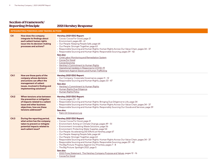|                | <b>INTEGRATING FINDINGS AND TAKING ACTION</b>                                                                                                                                  |                                                                                                                                                                                                                                                                                                                                                                                                                                                                                                                                                                                                                                                                                                                                                                                                          |  |
|----------------|--------------------------------------------------------------------------------------------------------------------------------------------------------------------------------|----------------------------------------------------------------------------------------------------------------------------------------------------------------------------------------------------------------------------------------------------------------------------------------------------------------------------------------------------------------------------------------------------------------------------------------------------------------------------------------------------------------------------------------------------------------------------------------------------------------------------------------------------------------------------------------------------------------------------------------------------------------------------------------------------------|--|
| C <sub>4</sub> | How does the company<br>integrate its findings about<br>each salient human rights<br>issue into its decision-making<br>processes and actions?                                  | Hershey 2021 ESG Report:<br>• Cocoa: Cocoa For Good, page 21<br>· Environment, pages 48 - 61<br>· Our People: Keeping People Safe, page 64<br>• Our People: Stronger Together, page 63<br>• Responsible Sourcing and Human Rights: Human Rights Across Our Value Chain, pages 34 - 37<br>· Responsible Sourcing and Human Rights: Responsible Sourcing, pages 39 - 42<br>See also:<br>• Child Labor Monitoring and Remediation System<br>• Cocoa For Good<br>• Cocoa Sourcing<br>• Hershey's Commitment to Human Rights<br>• Operational Updates in Response to COVID-19<br>• Statement Against Slavery and Human Trafficking                                                                                                                                                                            |  |
| C4.1           | How are those parts of the<br>company whose decisions<br>and actions can affect the<br>management of salient<br>issues, involved in finding and<br>implementing solutions?     | Hershey 2021 ESG Report:<br>• Our Company: Corporate Governance, pages 11 - 12<br>· Responsible Sourcing and Human Rights, pages 33 - 47<br>See also:<br>• Hershey's Commitment to Human Rights<br>• Human Rights Due Diligence<br>• Human Rights Policy                                                                                                                                                                                                                                                                                                                                                                                                                                                                                                                                                 |  |
| C4.2           | When tensions arise between<br>the prevention or mitigation<br>of impacts related to a salient<br>issue and other business<br>objectives, how are these<br>tensions addressed? | Hershey 2021 ESG Report:<br>$\cdot$ Cocoa, pages 20 - 32<br>• Responsible Sourcing and Human Rights: Bringing Due Diligence to Life, page 34<br>• Responsible Sourcing and Human Rights: Human Rights Across Our Value Chain, pages 34 - 37<br>• Responsible Sourcing and Human Rights: Responsibly Sourcing Our Goods and Services, page 39<br>See also:<br>• Palm Oil Grievance Log                                                                                                                                                                                                                                                                                                                                                                                                                    |  |
| C4.3           | During the reporting period,<br>what action has the company<br>taken to prevent or mitigate<br>potential impacts related to<br>each salient issue?                             | Hershey 2021 ESG Report:<br>• Cocoa: Cocoa For Good, page 21<br>• Environment: Acting on Climate Change, pages 49 - 51<br>• Environment: Innovating Waste Solutions, page 56<br>• Environment: Protecting Water Supplies, page 54<br>• Our People: Accelerating DEI Efforts at Hershey, page 67<br>· Our People: Keeping People Safe, page 64<br>• Our People: Stronger Together, page 63<br>· Responsible Sourcing and Human Rights: Human Rights Across Our Value Chain, pages 34 - 37<br>· Responsible Sourcing and Human Rights: Responsible Sourcing, pages 39 - 42<br>· The Big Picture: Progress Against Our Priorities, pages 7 - 8<br>• The Big Picture: Spotlight 2021, page 5<br>See also:<br>• 2022 Proxy Statement: The Hershey Company Purpose and Values, pages 12-16<br>• Cocoa For Good |  |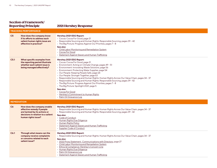|                    | <b>TRACKING PERFORMANCE</b>                                                                                                                            |                                                                                                                                                                                                                                                                                                                                                                                                                                                                                                                                                                                                                                                                                                                                   |  |
|--------------------|--------------------------------------------------------------------------------------------------------------------------------------------------------|-----------------------------------------------------------------------------------------------------------------------------------------------------------------------------------------------------------------------------------------------------------------------------------------------------------------------------------------------------------------------------------------------------------------------------------------------------------------------------------------------------------------------------------------------------------------------------------------------------------------------------------------------------------------------------------------------------------------------------------|--|
| C <sub>5</sub>     | How does the company know<br>if its efforts to address each<br>salient human rights issue are<br>effective in practice?                                | Hershey 2021 ESG Report:<br>• Cocoa: Cocoa For Good, page 21<br>· Responsible Sourcing and Human Rights: Responsible Sourcing, pages 39 - 42<br>· The Big Picture: Progress Against Our Priorities, pages 7 - 8<br>See also:<br>• Child Labor Monitoring and Remediation System<br>• Cocoa For Good<br>• Statement Against Slavery and Human Trafficking                                                                                                                                                                                                                                                                                                                                                                          |  |
| C <sub>5.1</sub>   | What specific examples from<br>the reporting period illustrate<br>whether each salient issue is<br>being managed effectively?                          | Hershey 2021 ESG Report:<br>• Cocoa: Cocoa For Good, page 21<br>• Environment: Acting on Climate Change, pages 49 - 51<br>• Environment: Innovating Waste Solutions, page 56<br>• Environment: Protecting Water Supplies, page 54<br>· Our People: Keeping People Safe, page 64<br>• Our People: Stronger Together, page 63<br>· Responsible Sourcing and Human Rights: Human Rights Across Our Value Chain, pages 34 - 37<br>· Responsible Sourcing and Human Rights: Responsible Sourcing, pages 39 - 42<br>· The Big Picture: Progress Against Our Priorities, pages 7 - 8<br>· The Big Picture: Spotlight 2021, page 5<br>See also:<br>• Cocoa For Good<br>· Hershey's Commitment to Human Rights<br>· Palm Oil Grievance Log |  |
| <b>REMEDIATION</b> |                                                                                                                                                        |                                                                                                                                                                                                                                                                                                                                                                                                                                                                                                                                                                                                                                                                                                                                   |  |
| C6                 | How does the company enable<br>effective remedy if people<br>are harmed by its actions or<br>decisions in relation to a salient<br>human rights issue? | Hershey 2021 ESG Report:<br>• Responsible Sourcing and Human Rights: Human Rights Across Our Value Chain, pages 34 - 37<br>· Responsible Sourcing and Human Rights: Responsible Sourcing, pages 39 - 42<br>See also:<br>• Code of Conduct<br>• Human Rights Due Diligence<br>• Human Rights Policy<br>· Statement Against Slavery and Human Trafficking<br>• Supplier Code of Conduct                                                                                                                                                                                                                                                                                                                                             |  |
| C6.1               | Through what means can the<br>company receive complaints<br>or concerns related to each<br>salient issue?                                              | Hershey 2021 ESG Report:<br>· Responsible Sourcing and Human Rights: Human Rights Across Our Value Chain, pages 34 - 37<br>See also:<br>· 2022 Proxy Statement: Communications with Directors, page 27<br>• Child Labor Monitoring and Remediation System<br>· Ethics & Compliance: Hershey's Concern Line<br>• Human Rights Due Diligence<br>• Palm Oil Grievance Log<br>· Statement Against Slavery and Human Trafficking                                                                                                                                                                                                                                                                                                       |  |